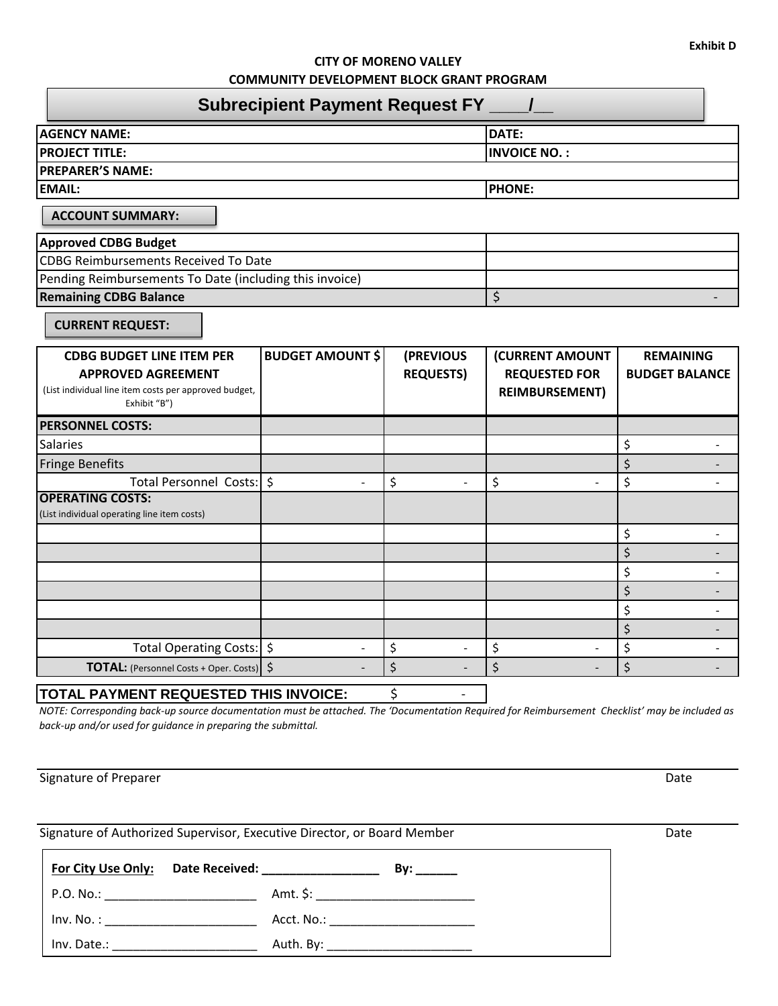## **CITY OF MORENO VALLEY COMMUNITY DEVELOPMENT BLOCK GRANT PROGRAM**

| <b>Subrecipient Payment Request FY ___ /</b>                                                                                           |                         |                               |                                                                  |                                           |
|----------------------------------------------------------------------------------------------------------------------------------------|-------------------------|-------------------------------|------------------------------------------------------------------|-------------------------------------------|
| <b>AGENCY NAME:</b>                                                                                                                    |                         |                               | DATE:                                                            |                                           |
| <b>PROJECT TITLE:</b>                                                                                                                  |                         |                               | <b>INVOICE NO.:</b>                                              |                                           |
| <b>PREPARER'S NAME:</b>                                                                                                                |                         |                               |                                                                  |                                           |
| <b>EMAIL:</b>                                                                                                                          |                         |                               | <b>PHONE:</b>                                                    |                                           |
| <b>ACCOUNT SUMMARY:</b>                                                                                                                |                         |                               |                                                                  |                                           |
| <b>Approved CDBG Budget</b>                                                                                                            |                         |                               |                                                                  |                                           |
| <b>CDBG Reimbursements Received To Date</b>                                                                                            |                         |                               |                                                                  |                                           |
| Pending Reimbursements To Date (including this invoice)                                                                                |                         |                               |                                                                  |                                           |
| <b>Remaining CDBG Balance</b>                                                                                                          |                         |                               | \$                                                               |                                           |
| <b>CURRENT REQUEST:</b>                                                                                                                |                         |                               |                                                                  |                                           |
| <b>CDBG BUDGET LINE ITEM PER</b><br><b>APPROVED AGREEMENT</b><br>(List individual line item costs per approved budget,<br>Exhibit "B") | <b>BUDGET AMOUNT \$</b> | (PREVIOUS<br><b>REQUESTS)</b> | (CURRENT AMOUNT<br><b>REQUESTED FOR</b><br><b>REIMBURSEMENT)</b> | <b>REMAINING</b><br><b>BUDGET BALANCE</b> |
| <b>PERSONNEL COSTS:</b>                                                                                                                |                         |                               |                                                                  |                                           |
| <b>Salaries</b>                                                                                                                        |                         |                               |                                                                  | \$                                        |
| <b>Fringe Benefits</b>                                                                                                                 |                         |                               |                                                                  | \$                                        |
| Total Personnel Costs:   \$                                                                                                            |                         | \$                            | \$                                                               | \$                                        |
| <b>OPERATING COSTS:</b><br>(List individual operating line item costs)                                                                 |                         |                               |                                                                  |                                           |
|                                                                                                                                        |                         |                               |                                                                  | \$                                        |
|                                                                                                                                        |                         |                               |                                                                  | \$                                        |
|                                                                                                                                        |                         |                               |                                                                  | \$<br>$\overline{\phantom{a}}$            |
|                                                                                                                                        |                         |                               |                                                                  | \$                                        |
|                                                                                                                                        |                         |                               |                                                                  | \$                                        |
|                                                                                                                                        |                         |                               |                                                                  | \$                                        |
| Total Operating Costs:   \$                                                                                                            |                         | \$                            | \$                                                               | \$<br>$\overline{\phantom{a}}$            |
| TOTAL: (Personnel Costs + Oper. Costs)   \$                                                                                            |                         | \$                            | \$                                                               | \$                                        |

## **TOTAL PAYMENT REQUESTED THIS INVOICE:** \$ -

*NOTE: Corresponding back-up source documentation must be attached. The 'Documentation Required for Reimbursement Checklist' may be included as back-up and/or used for guidance in preparing the submittal.*

Signature of Preparer Date Communications and the Communications of Preparer Date

Signature of Authorized Supervisor, Executive Director, or Board Member Date

**For City Use Only: Date Received: \_\_\_\_\_\_\_\_\_\_\_\_\_\_\_\_\_ By: \_\_\_\_\_\_** P.O. No.: \_\_\_\_\_\_\_\_\_\_\_\_\_\_\_\_\_\_\_\_\_\_ Amt. \$: \_\_\_\_\_\_\_\_\_\_\_\_\_\_\_\_\_\_\_\_\_\_\_ Inv. No. : \_\_\_\_\_\_\_\_\_\_\_\_\_\_\_\_\_\_\_\_\_\_ Acct. No.: \_\_\_\_\_\_\_\_\_\_\_\_\_\_\_\_\_\_\_\_\_ Inv. Date.: \_\_\_\_\_\_\_\_\_\_\_\_\_\_\_\_\_\_\_\_\_ Auth. By: \_\_\_\_\_\_\_\_\_\_\_\_\_\_\_\_\_\_\_\_\_